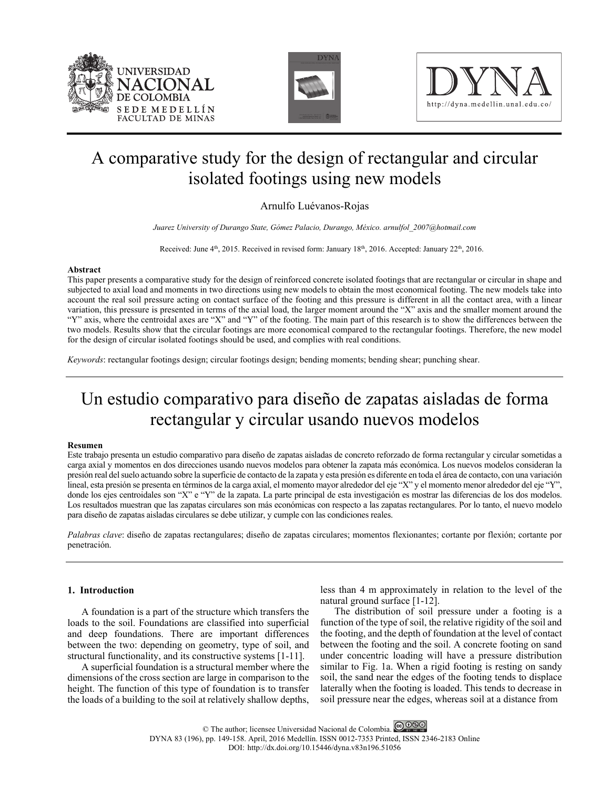





# A comparative study for the design of rectangular and circular isolated footings using new models

# Arnulfo Luévanos-Rojas

*Juarez University of Durango State, Gómez Palacio, Durango, México. arnulfol\_2007@hotmail.com* 

Received: June  $4<sup>th</sup>$ , 2015. Received in revised form: January  $18<sup>th</sup>$ , 2016. Accepted: January  $22<sup>th</sup>$ , 2016.

## **Abstract**

This paper presents a comparative study for the design of reinforced concrete isolated footings that are rectangular or circular in shape and subjected to axial load and moments in two directions using new models to obtain the most economical footing. The new models take into account the real soil pressure acting on contact surface of the footing and this pressure is different in all the contact area, with a linear variation, this pressure is presented in terms of the axial load, the larger moment around the "X" axis and the smaller moment around the "Y" axis, where the centroidal axes are "X" and "Y" of the footing. The main part of this research is to show the differences between the two models. Results show that the circular footings are more economical compared to the rectangular footings. Therefore, the new model for the design of circular isolated footings should be used, and complies with real conditions.

*Keywords*: rectangular footings design; circular footings design; bending moments; bending shear; punching shear.

# Un estudio comparativo para diseño de zapatas aisladas de forma rectangular y circular usando nuevos modelos

## **Resumen**

Este trabajo presenta un estudio comparativo para diseño de zapatas aisladas de concreto reforzado de forma rectangular y circular sometidas a carga axial y momentos en dos direcciones usando nuevos modelos para obtener la zapata más económica. Los nuevos modelos consideran la presión real del suelo actuando sobre la superficie de contacto de la zapata y esta presión es diferente en toda el área de contacto, con una variación lineal, esta presión se presenta en términos de la carga axial, el momento mayor alrededor del eje "X" y el momento menor alrededor del eje "Y", donde los ejes centroidales son "X" e "Y" de la zapata. La parte principal de esta investigación es mostrar las diferencias de los dos modelos. Los resultados muestran que las zapatas circulares son más económicas con respecto a las zapatas rectangulares. Por lo tanto, el nuevo modelo para diseño de zapatas aisladas circulares se debe utilizar, y cumple con las condiciones reales.

*Palabras clave*: diseño de zapatas rectangulares; diseño de zapatas circulares; momentos flexionantes; cortante por flexión; cortante por penetración.

# **1. Introduction**

A foundation is a part of the structure which transfers the loads to the soil. Foundations are classified into superficial and deep foundations. There are important differences between the two: depending on geometry, type of soil, and structural functionality, and its constructive systems [1-11].

A superficial foundation is a structural member where the dimensions of the cross section are large in comparison to the height. The function of this type of foundation is to transfer the loads of a building to the soil at relatively shallow depths,

less than 4 m approximately in relation to the level of the natural ground surface [1-12].

The distribution of soil pressure under a footing is a function of the type of soil, the relative rigidity of the soil and the footing, and the depth of foundation at the level of contact between the footing and the soil. A concrete footing on sand under concentric loading will have a pressure distribution similar to Fig. 1a. When a rigid footing is resting on sandy soil, the sand near the edges of the footing tends to displace laterally when the footing is loaded. This tends to decrease in soil pressure near the edges, whereas soil at a distance from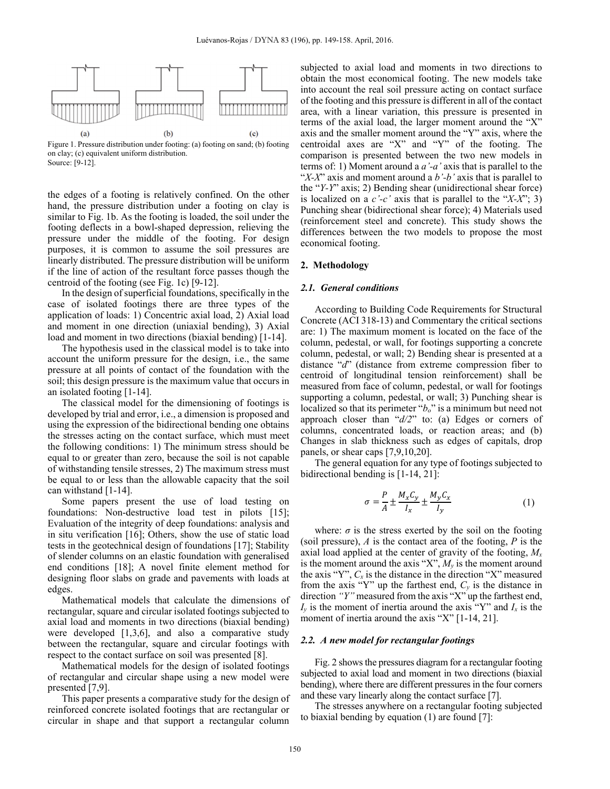

Figure 1. Pressure distribution under footing: (a) footing on sand; (b) footing on clay; (c) equivalent uniform distribution. Source: [9-12].

the edges of a footing is relatively confined. On the other hand, the pressure distribution under a footing on clay is similar to Fig. 1b. As the footing is loaded, the soil under the footing deflects in a bowl-shaped depression, relieving the pressure under the middle of the footing. For design purposes, it is common to assume the soil pressures are linearly distributed. The pressure distribution will be uniform if the line of action of the resultant force passes though the centroid of the footing (see Fig. 1c) [9-12].

In the design of superficial foundations, specifically in the case of isolated footings there are three types of the application of loads: 1) Concentric axial load, 2) Axial load and moment in one direction (uniaxial bending), 3) Axial load and moment in two directions (biaxial bending) [1-14].

The hypothesis used in the classical model is to take into account the uniform pressure for the design, i.e., the same pressure at all points of contact of the foundation with the soil; this design pressure is the maximum value that occurs in an isolated footing [1-14].

The classical model for the dimensioning of footings is developed by trial and error, i.e., a dimension is proposed and using the expression of the bidirectional bending one obtains the stresses acting on the contact surface, which must meet the following conditions: 1) The minimum stress should be equal to or greater than zero, because the soil is not capable of withstanding tensile stresses, 2) The maximum stress must be equal to or less than the allowable capacity that the soil can withstand [1-14].

Some papers present the use of load testing on foundations: Non-destructive load test in pilots [15]; Evaluation of the integrity of deep foundations: analysis and in situ verification [16]; Others, show the use of static load tests in the geotechnical design of foundations [17]; Stability of slender columns on an elastic foundation with generalised end conditions [18]; A novel finite element method for designing floor slabs on grade and pavements with loads at edges.

Mathematical models that calculate the dimensions of rectangular, square and circular isolated footings subjected to axial load and moments in two directions (biaxial bending) were developed [1,3,6], and also a comparative study between the rectangular, square and circular footings with respect to the contact surface on soil was presented [8].

Mathematical models for the design of isolated footings of rectangular and circular shape using a new model were presented [7,9].

This paper presents a comparative study for the design of reinforced concrete isolated footings that are rectangular or circular in shape and that support a rectangular column subjected to axial load and moments in two directions to obtain the most economical footing. The new models take into account the real soil pressure acting on contact surface of the footing and this pressure is different in all of the contact area, with a linear variation, this pressure is presented in terms of the axial load, the larger moment around the "X" axis and the smaller moment around the "Y" axis, where the centroidal axes are "X" and "Y" of the footing. The comparison is presented between the two new models in terms of: 1) Moment around a *a'-a'* axis that is parallel to the "*X-X*" axis and moment around a *b'-b'* axis that is parallel to the "*Y-Y*" axis; 2) Bending shear (unidirectional shear force) is localized on a *c'-c'* axis that is parallel to the "*X-X*"; 3) Punching shear (bidirectional shear force); 4) Materials used (reinforcement steel and concrete). This study shows the differences between the two models to propose the most economical footing.

#### **2. Methodology**

#### *2.1. General conditions*

According to Building Code Requirements for Structural Concrete (ACI 318-13) and Commentary the critical sections are: 1) The maximum moment is located on the face of the column, pedestal, or wall, for footings supporting a concrete column, pedestal, or wall; 2) Bending shear is presented at a distance "*d*" (distance from extreme compression fiber to centroid of longitudinal tension reinforcement) shall be measured from face of column, pedestal, or wall for footings supporting a column, pedestal, or wall; 3) Punching shear is localized so that its perimeter "*b*<sub>o</sub>" is a minimum but need not approach closer than "*d/2*" to: (a) Edges or corners of columns, concentrated loads, or reaction areas; and (b) Changes in slab thickness such as edges of capitals, drop panels, or shear caps [7,9,10,20].

The general equation for any type of footings subjected to bidirectional bending is [1-14, 21]:

$$
\sigma = \frac{P}{A} \pm \frac{M_x C_y}{I_x} \pm \frac{M_y C_x}{I_y} \tag{1}
$$

where:  $\sigma$  is the stress exerted by the soil on the footing (soil pressure), *A* is the contact area of the footing, *P* is the axial load applied at the center of gravity of the footing, *Mx* is the moment around the axis "X", *My* is the moment around the axis "Y",  $C_x$  is the distance in the direction "X" measured from the axis "Y" up the farthest end,  $C_y$  is the distance in direction *"Y"* measured from the axis "X" up the farthest end,  $I<sub>v</sub>$  is the moment of inertia around the axis "Y" and  $I<sub>x</sub>$  is the moment of inertia around the axis "X" [1-14, 21].

## *2.2. A new model for rectangular footings*

Fig. 2 shows the pressures diagram for a rectangular footing subjected to axial load and moment in two directions (biaxial bending), where there are different pressures in the four corners and these vary linearly along the contact surface [7].

The stresses anywhere on a rectangular footing subjected to biaxial bending by equation (1) are found [7]: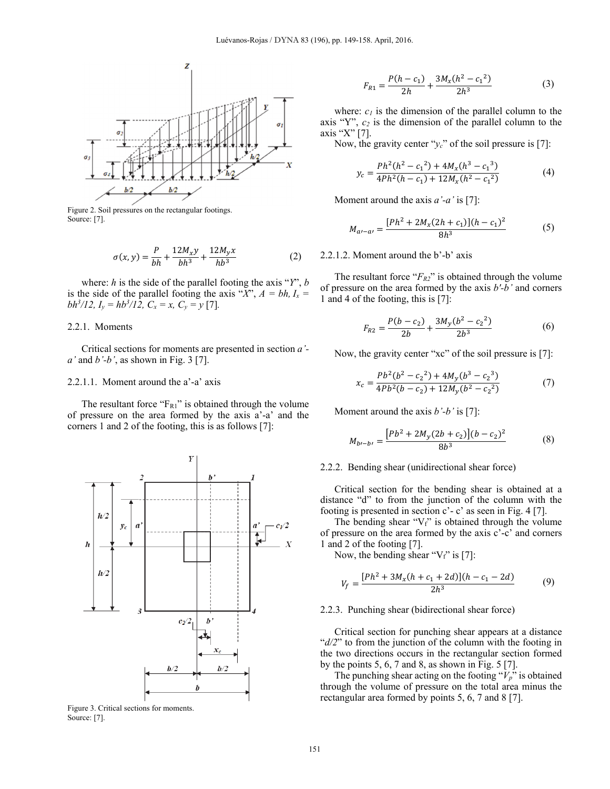

Figure 2. Soil pressures on the rectangular footings. Source: [7].

$$
\sigma(x,y) = \frac{P}{bh} + \frac{12M_xy}{bh^3} + \frac{12M_yx}{hb^3}
$$
 (2)

where: *h* is the side of the parallel footing the axis "*Y*", *b* is the side of the parallel footing the axis " $X$ ",  $A = bh$ ,  $I_x =$ *bh*<sup>3</sup>/12,  $I_y = hb^3/12$ ,  $C_x = x$ ,  $C_y = y$  [7].

## 2.2.1. Moments

Critical sections for moments are presented in section *a' a'* and *b'-b'*, as shown in Fig. 3 [7].

## 2.2.1.1. Moment around the a'-a' axis

The resultant force " $F_{R1}$ " is obtained through the volume of pressure on the area formed by the axis a'-a' and the corners 1 and 2 of the footing, this is as follows [7]:



Figure 3. Critical sections for moments. Source: [7].

$$
F_{R1} = \frac{P(h - c_1)}{2h} + \frac{3M_x(h^2 - c_1^2)}{2h^3}
$$
 (3)

where:  $c_l$  is the dimension of the parallel column to the axis "Y", *c2* is the dimension of the parallel column to the axis "X" [7].

Now, the gravity center " $v_c$ " of the soil pressure is [7]:

$$
y_c = \frac{Ph^2(h^2 - c_1^2) + 4M_x(h^3 - c_1^3)}{4Ph^2(h - c_1) + 12M_x(h^2 - c_1^2)}
$$
(4)

Moment around the axis *a'-a'* is [7]:

$$
M_{a\prime - a\prime} = \frac{[Ph^2 + 2M_x(2h + c_1)](h - c_1)^2}{8h^3} \tag{5}
$$

## 2.2.1.2. Moment around the b'-b' axis

The resultant force " $F_{R2}$ " is obtained through the volume of pressure on the area formed by the axis *b'-b'* and corners 1 and 4 of the footing, this is [7]:

$$
F_{R2} = \frac{P(b - c_2)}{2b} + \frac{3M_y(b^2 - c_2^2)}{2b^3}
$$
 (6)

Now, the gravity center "xc" of the soil pressure is [7]:

$$
x_c = \frac{Pb^2(b^2 - c_2^2) + 4M_y(b^3 - c_2^3)}{4Pb^2(b - c_2) + 12M_y(b^2 - c_2^2)}
$$
(7)

Moment around the axis *b'-b'* is [7]:

$$
M_{b\prime - b\prime} = \frac{[Pb^2 + 2M_y(2b + c_2)](b - c_2)^2}{8b^3} \tag{8}
$$

## 2.2.2. Bending shear (unidirectional shear force)

Critical section for the bending shear is obtained at a distance "d" to from the junction of the column with the footing is presented in section  $c^2$ -  $c^2$  as seen in Fig. 4 [7].

The bending shear " $V_f$ " is obtained through the volume of pressure on the area formed by the axis c'-c' and corners 1 and 2 of the footing [7].

Now, the bending shear " $V_f$ " is [7]:

$$
V_f = \frac{[Ph^2 + 3M_x(h + c_1 + 2d)](h - c_1 - 2d)}{2h^3} \tag{9}
$$

### 2.2.3. Punching shear (bidirectional shear force)

Critical section for punching shear appears at a distance " $d/2$ " to from the junction of the column with the footing in the two directions occurs in the rectangular section formed by the points  $5, 6, 7$  and  $8$ , as shown in Fig.  $5 \, [7]$ .

The punching shear acting on the footing " $V_p$ " is obtained through the volume of pressure on the total area minus the rectangular area formed by points 5, 6, 7 and 8 [7].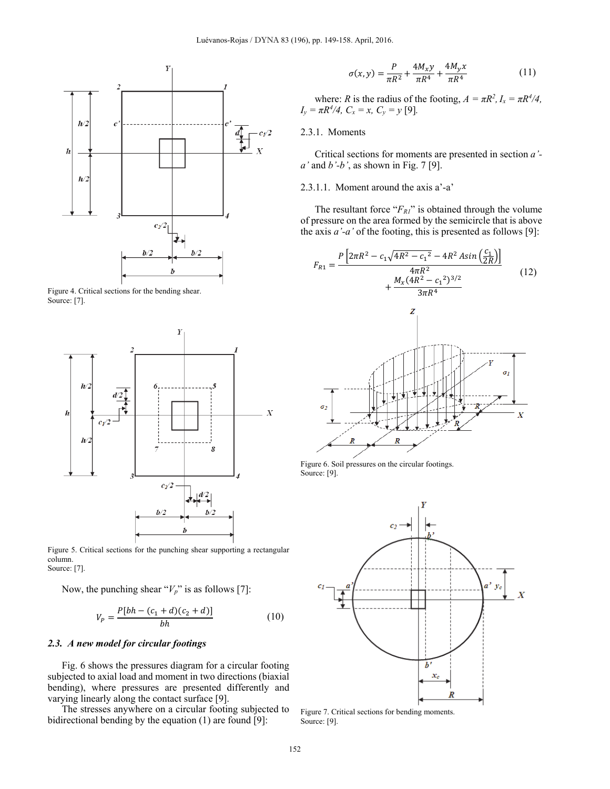

Figure 4. Critical sections for the bending shear. Source: [7].



Figure 5. Critical sections for the punching shear supporting a rectangular column. Source: [7].

Now, the punching shear " $V_p$ " is as follows [7]:

$$
V_P = \frac{P[bh - (c_1 + d)(c_2 + d)]}{bh} \tag{10}
$$

## *2.3. A new model for circular footings*

Fig. 6 shows the pressures diagram for a circular footing subjected to axial load and moment in two directions (biaxial bending), where pressures are presented differently and varying linearly along the contact surface [9].

The stresses anywhere on a circular footing subjected to bidirectional bending by the equation (1) are found [9]:

$$
\sigma(x,y) = \frac{P}{\pi R^2} + \frac{4M_x y}{\pi R^4} + \frac{4M_y x}{\pi R^4}
$$
(11)

where: *R* is the radius of the footing,  $A = \pi R^2$ ,  $I_x = \pi R^4/4$ ,  $I_y = \pi R^4/4$ ,  $C_x = x$ ,  $C_y = y$  [9].

# 2.3.1. Moments

Critical sections for moments are presented in section *a' a'* and *b'-b'*, as shown in Fig. 7 [9].

# 2.3.1.1. Moment around the axis a'-a'

The resultant force " $F_{RI}$ " is obtained through the volume of pressure on the area formed by the semicircle that is above the axis *a'-a'* of the footing, this is presented as follows [9]:

$$
F_{R1} = \frac{P\left[2\pi R^2 - c_1 \sqrt{4R^2 - c_1^2} - 4R^2 A sin\left(\frac{c_1}{2R}\right)\right]}{4\pi R^2} + \frac{M_x (4R^2 - c_1^2)^{3/2}}{3\pi R^4}
$$
(12)



Figure 6. Soil pressures on the circular footings. Source: [9].



Figure 7. Critical sections for bending moments. Source: [9].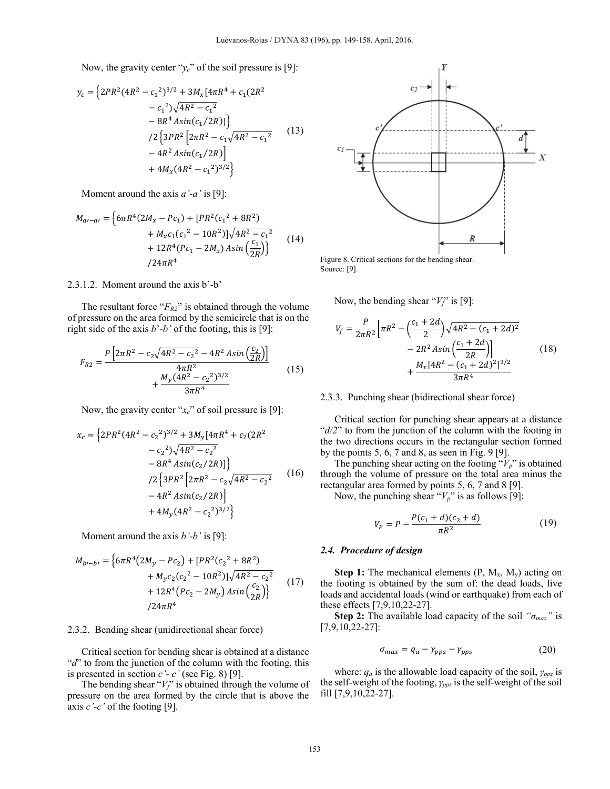Now, the gravity center "*yc*" of the soil pressure is [9]:

$$
y_c = \left\{ 2PR^2(4R^2 - c_1^2)^{3/2} + 3M_x[4\pi R^4 + c_1(2R^2 - c_1^2)\sqrt{4R^2 - c_1^2} - 8R^4 Asin(c_1/2R)] \right\}
$$
  
\n
$$
/2 \left\{ 3PR^2 \left[ 2\pi R^2 - c_1\sqrt{4R^2 - c_1^2} - 4R^2 Asin(c_1/2R) \right] - 4R^2 Asin(c_1/2R) \right\}
$$
  
\n
$$
+ 4M_x(4R^2 - c_1^2)^{3/2} \right\}
$$
 (13)

Moment around the axis *a'-a'* is [9]:

$$
M_{a\prime-a\prime} = \left\{ 6\pi R^4 (2M_x - Pc_1) + [PR^2(c_1^2 + 8R^2) + M_x c_1 (c_1^2 - 10R^2)] \sqrt{4R^2 - c_1^2} + 12R^4 (Pc_1 - 2M_x) Asin \left(\frac{c_1}{2R}\right) \right\}
$$
(14)  
(24 $\pi R^4$ 

## 2.3.1.2. Moment around the axis b'-b'

The resultant force " $F_{R2}$ " is obtained through the volume of pressure on the area formed by the semicircle that is on the right side of the axis *b*'*-b'* of the footing, this is [9]:

$$
F_{R2} = \frac{P\left[2\pi R^2 - c_2\sqrt{4R^2 - c_2^2} - 4R^2 A sin\left(\frac{c_2}{2R}\right)\right]}{4\pi R^2} + \frac{M_y (4R^2 - c_2^2)^{3/2}}{3\pi R^4}
$$
(15)

Now, the gravity center "*xc*" of soil pressure is [9]:

$$
x_c = \left\{ 2PR^2(4R^2 - c_2^2)^{3/2} + 3M_y[4\pi R^4 + c_2(2R^2 - c_2^2)\sqrt{4R^2 - c_2^2} - 8R^4 Asin(c_2/2R)] \right\}
$$
  
\n
$$
/2 \left\{ 3PR^2 \left[ 2\pi R^2 - c_2\sqrt{4R^2 - c_2^2} - 4R^2Asin(c_2/2R) \right] - 4R^2Asin(c_2/2R) \right\}
$$
  
\n
$$
+ 4M_y(4R^2 - c_2^2)^{3/2} \right\}
$$
 (16)

Moment around the axis *b'-b'* is [9]:

$$
M_{b} = \left\{ 6\pi R^4 (2M_y - Pc_2) + [PR^2(c_2^2 + 8R^2) + M_y c_2 (c_2^2 - 10R^2)] \sqrt{4R^2 - c_2^2} + 12R^4 (Pc_2 - 2M_y) Asin \left(\frac{c_2}{2R}\right) \right\}
$$
(17)  

$$
/24\pi R^4
$$

### 2.3.2. Bending shear (unidirectional shear force)

Critical section for bending shear is obtained at a distance "*d*" to from the junction of the column with the footing, this is presented in section *c'- c'* (see Fig. 8) [9].

The bending shear "*Vf*" is obtained through the volume of pressure on the area formed by the circle that is above the axis *c'-c'* of the footing [9].



Figure 8. Critical sections for the bending shear. Source: [9].

Now, the bending shear " $V_f$ " is [9]:

$$
V_f = \frac{P}{2\pi R^2} \left[ \pi R^2 - \left(\frac{c_1 + 2d}{2}\right) \sqrt{4R^2 - (c_1 + 2d)^2} - 2R^2 A \sin\left(\frac{c_1 + 2d}{2R}\right) \right] + \frac{M_x [4R^2 - (c_1 + 2d)^2]^{3/2}}{3\pi R^4}
$$
(18)

## 2.3.3. Punching shear (bidirectional shear force)

Critical section for punching shear appears at a distance "*d/2*" to from the junction of the column with the footing in the two directions occurs in the rectangular section formed by the points  $5, 6, 7$  and  $8$ , as seen in Fig. 9 [9].

The punching shear acting on the footing " $V_p$ " is obtained through the volume of pressure on the total area minus the rectangular area formed by points 5, 6, 7 and 8 [9].

Now, the punching shear " $V_p$ " is as follows [9]:

$$
V_P = P - \frac{P(c_1 + d)(c_2 + d)}{\pi R^2} \tag{19}
$$

## *2.4. Procedure of design*

**Step 1:** The mechanical elements  $(P, M_x, M_y)$  acting on the footing is obtained by the sum of: the dead loads, live loads and accidental loads (wind or earthquake) from each of these effects [7,9,10,22-27].

**Step 2:** The available load capacity of the soil *"σmax"* is [7,9,10,22-27]:

$$
\sigma_{max} = q_a - \gamma_{ppz} - \gamma_{pps} \tag{20}
$$

where: *qa* is the allowable load capacity of the soil, *γppz* is the self-weight of the footing, *γpps* is the self-weight of the soil fill [7,9,10,22-27].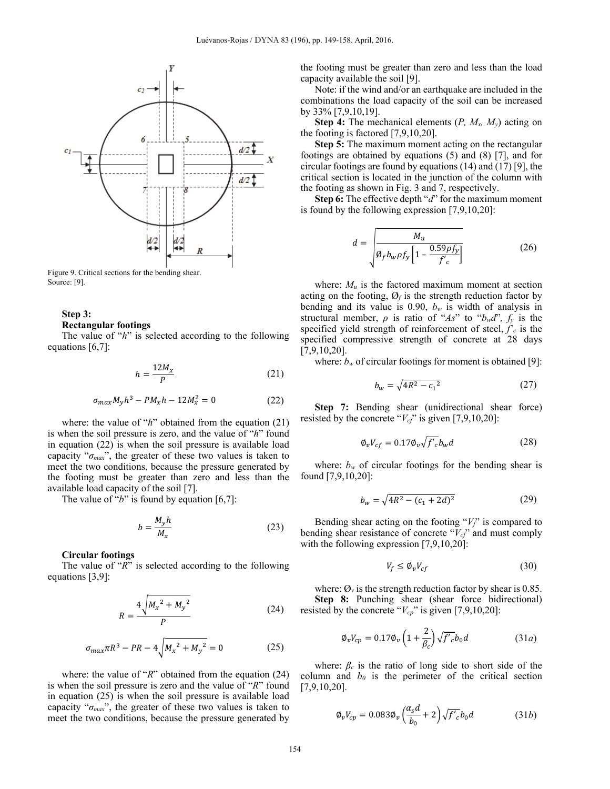

Figure 9. Critical sections for the bending shear. Source: [9].

# **Step 3:**

#### **Rectangular footings**

The value of "*h*" is selected according to the following equations [6,7]:

$$
h = \frac{12M_x}{P} \tag{21}
$$

$$
\sigma_{max} M_y h^3 - P M_x h - 12 M_x^2 = 0 \tag{22}
$$

where: the value of "*h*" obtained from the equation (21) is when the soil pressure is zero, and the value of "*h*" found in equation (22) is when the soil pressure is available load capacity "*σmax*", the greater of these two values is taken to meet the two conditions, because the pressure generated by the footing must be greater than zero and less than the available load capacity of the soil [7].

The value of "*b*" is found by equation [6,7]:

$$
b = \frac{M_y h}{M_x} \tag{23}
$$

## **Circular footings**

The value of "*R*" is selected according to the following equations [3,9]:

$$
R = \frac{4\sqrt{{M_x}^2 + {M_y}^2}}{P}
$$
 (24)

$$
\sigma_{max}\pi R^3 - PR - 4\sqrt{{M_x}^2 + {M_y}^2} = 0
$$
 (25)

where: the value of "*R*" obtained from the equation (24) is when the soil pressure is zero and the value of "*R*" found in equation (25) is when the soil pressure is available load capacity "*σmax*", the greater of these two values is taken to meet the two conditions, because the pressure generated by

the footing must be greater than zero and less than the load capacity available the soil [9].

Note: if the wind and/or an earthquake are included in the combinations the load capacity of the soil can be increased by 33% [7,9,10,19].

**Step 4:** The mechanical elements (*P, Mx, My*) acting on the footing is factored [7,9,10,20].

**Step 5:** The maximum moment acting on the rectangular footings are obtained by equations (5) and (8) [7], and for circular footings are found by equations (14) and (17) [9], the critical section is located in the junction of the column with the footing as shown in Fig. 3 and 7, respectively.

**Step 6:** The effective depth "*d*" for the maximum moment is found by the following expression [7,9,10,20]:

$$
d = \sqrt{\frac{M_u}{\varnothing_f b_w \rho f_y \left[1 - \frac{0.59 \rho f_y}{f'_c}\right]}}
$$
(26)

where:  $M_u$  is the factored maximum moment at section acting on the footing,  $\mathcal{O}_f$  is the strength reduction factor by bending and its value is 0.90,  $b_w$  is width of analysis in structural member,  $\rho$  is ratio of "*As*" to " $b_w d$ ",  $f_y$  is the specified yield strength of reinforcement of steel,  $f'_c$  is the specified compressive strength of concrete at 28 days [7,9,10,20].

where:  $b_w$  of circular footings for moment is obtained [9]:

$$
b_w = \sqrt{4R^2 - c_1^2} \tag{27}
$$

**Step 7:** Bending shear (unidirectional shear force) resisted by the concrete " $V_{cf}$ " is given [7,9,10,20]:

$$
\varphi_v V_{cf} = 0.17 \varphi_v \sqrt{f'_c} b_w d \tag{28}
$$

where:  $b_w$  of circular footings for the bending shear is found [7,9,10,20]:

$$
b_w = \sqrt{4R^2 - (c_1 + 2d)^2} \tag{29}
$$

Bending shear acting on the footing "*Vf*" is compared to bending shear resistance of concrete "*Vcf*" and must comply with the following expression [7,9,10,20]:

$$
V_f \le \phi_v V_{cf} \tag{30}
$$

where:  $\mathcal{O}_v$  is the strength reduction factor by shear is 0.85. **Step 8:** Punching shear (shear force bidirectional) resisted by the concrete " $V_{cp}$ " is given [7,9,10,20]:

$$
\phi_v V_{cp} = 0.17 \phi_v \left( 1 + \frac{2}{\beta_c} \right) \sqrt{f'_c} b_0 d \tag{31a}
$$

where:  $\beta_c$  is the ratio of long side to short side of the column and  $b_0$  is the perimeter of the critical section [7,9,10,20].

$$
\phi_v V_{cp} = 0.083 \phi_v \left(\frac{\alpha_s d}{b_0} + 2\right) \sqrt{f'_c} b_0 d \tag{31b}
$$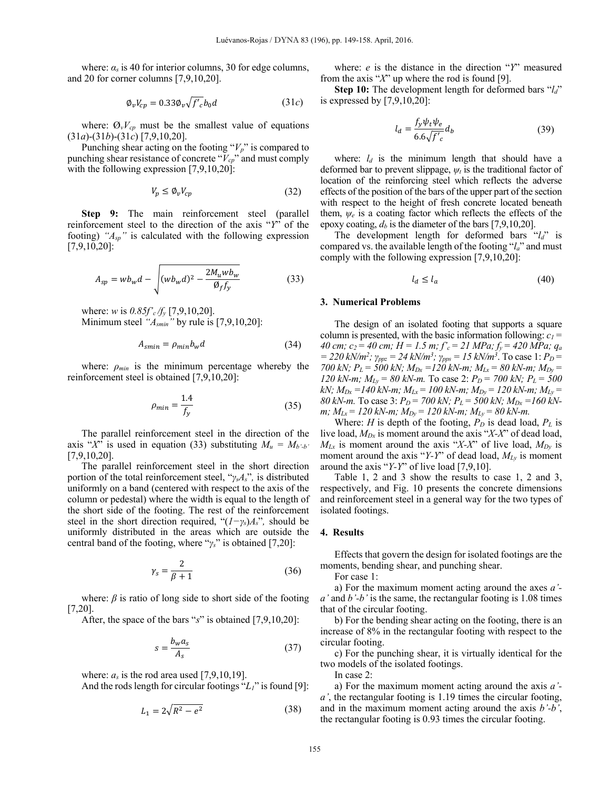where:  $\alpha_s$  is 40 for interior columns, 30 for edge columns, and 20 for corner columns [7,9,10,20].

$$
\varphi_v V_{cp} = 0.33 \varphi_v \sqrt{f'_c} b_0 d \tag{31c}
$$

where:  $\mathcal{O}_v V_{cp}$  must be the smallest value of equations (31*a*)-(31*b*)-(31*c*) [7,9,10,20].

Punching shear acting on the footing " $V_p$ " is compared to punching shear resistance of concrete "*Vcp*" and must comply with the following expression [7,9,10,20]:

$$
V_p \le \phi_v V_{cp} \tag{32}
$$

**Step 9:** The main reinforcement steel (parallel reinforcement steel to the direction of the axis "*Y*" of the footing) *"Asp"* is calculated with the following expression [7,9,10,20]:

$$
A_{sp} = wb_w d - \sqrt{(wb_w d)^2 - \frac{2M_uwb_w}{\varnothing_f f_y}}
$$
(33)

where: *w* is *0.85f'c /fy* [7,9,10,20]. Minimum steel *"Asmin"* by rule is [7,9,10,20]:

$$
A_{smin} = \rho_{min} b_w d \tag{34}
$$

where:  $\rho_{min}$  is the minimum percentage whereby the reinforcement steel is obtained [7,9,10,20]:

$$
\rho_{min} = \frac{1.4}{f_y} \tag{35}
$$

The parallel reinforcement steel in the direction of the axis " $X$ " is used in equation (33) substituting  $M_u = M_{b-b}$ " [7,9,10,20].

The parallel reinforcement steel in the short direction portion of the total reinforcement steel, "*γsAs*"*,* is distributed uniformly on a band (centered with respect to the axis of the column or pedestal) where the width is equal to the length of the short side of the footing. The rest of the reinforcement steel in the short direction required, " $(I-\gamma_s)A_s$ ", should be uniformly distributed in the areas which are outside the central band of the footing, where "*γs*" is obtained [7,20]:

$$
\gamma_s = \frac{2}{\beta + 1} \tag{36}
$$

where:  $\beta$  is ratio of long side to short side of the footing [7,20].

After, the space of the bars "*s*" is obtained [7,9,10,20]:

$$
s = \frac{b_w a_s}{A_s} \tag{37}
$$

where:  $a_s$  is the rod area used [7,9,10,19].

And the rods length for circular footings "*L1*" is found [9]:

$$
L_1 = 2\sqrt{R^2 - e^2} \tag{38}
$$

where: *e* is the distance in the direction "*Y*" measured from the axis "*X*" up where the rod is found [9].

**Step 10:** The development length for deformed bars "*l<sub>d</sub>*" is expressed by [7,9,10,20]:

$$
l_d = \frac{f_y \psi_t \psi_e}{6.6 \sqrt{f'_c}} d_b \tag{39}
$$

where:  $l_d$  is the minimum length that should have a deformed bar to prevent slippage, *ψt* is the traditional factor of location of the reinforcing steel which reflects the adverse effects of the position of the bars of the upper part of the section with respect to the height of fresh concrete located beneath them, *ψe* is a coating factor which reflects the effects of the epoxy coating,  $d_b$  is the diameter of the bars [7,9,10,20].

The development length for deformed bars "*ld*" is compared vs. the available length of the footing "*la*" and must comply with the following expression [7,9,10,20]:

$$
l_d \le l_a \tag{40}
$$

## **3. Numerical Problems**

The design of an isolated footing that supports a square column is presented, with the basic information following:  $c_1$  = *40 cm; c2 = 40 cm; H = 1.5 m; f'c = 21 MPa; fy = 420 MPa; qa*  $= 220 \text{ kN/m}^2$ ;  $\gamma_{ppz} = 24 \text{ kN/m}^3$ ;  $\gamma_{pps} = 15 \text{ kN/m}^3$ . To case 1:  $P_D =$ *700 kN;*  $P_L = 500$  kN;  $M_{Dx} = 120$  kN-m;  $M_{Lx} = 80$  kN-m;  $M_{Dy} =$ *120 kN-m;*  $M_{Ly} = 80$  kN-m. To case 2:  $P_D = 700$  kN;  $P_L = 500$ *kN;*  $M_{Dx} = 140$  *kN-m;*  $M_{Lx} = 100$  *kN-m;*  $M_{Dy} = 120$  *kN-m;*  $M_{Ly} =$ *80 kN-m.* To case 3:  $P_D = 700$  kN;  $P_L = 500$  kN;  $M_{Dx} = 160$  kN*m;*  $M_{Lx} = 120$  kN-m;  $M_{Dy} = 120$  kN-m;  $M_{Ly} = 80$  kN-m.

Where: *H* is depth of the footing,  $P_D$  is dead load,  $P_L$  is live load, *MDx* is moment around the axis "*X-X*" of dead load,  $M_{Lx}$  is moment around the axis "*X-X*" of live load,  $M_{Dy}$  is moment around the axis "*Y-Y*" of dead load, *MLy* is moment around the axis "*Y-Y*" of live load [7,9,10].

Table 1, 2 and 3 show the results to case 1, 2 and 3, respectively, and Fig. 10 presents the concrete dimensions and reinforcement steel in a general way for the two types of isolated footings.

#### **4. Results**

Effects that govern the design for isolated footings are the moments, bending shear, and punching shear.

For case 1:

a) For the maximum moment acting around the axes *a' a'* and *b'-b'* is the same, the rectangular footing is 1.08 times that of the circular footing.

b) For the bending shear acting on the footing, there is an increase of 8% in the rectangular footing with respect to the circular footing.

c) For the punching shear, it is virtually identical for the two models of the isolated footings.

In case 2:

a) For the maximum moment acting around the axis *a' a'*, the rectangular footing is 1.19 times the circular footing, and in the maximum moment acting around the axis *b'-b'*, the rectangular footing is 0.93 times the circular footing.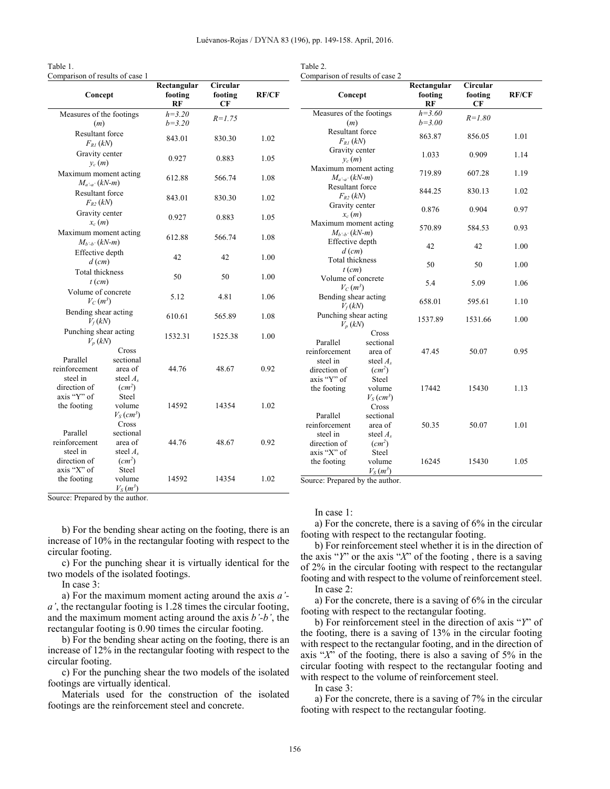Table 2.

| Comparison of results of case 1            |                                             |                              |                                  |              | Comparison of results of case 2                     |                                             |                              |                           |              |
|--------------------------------------------|---------------------------------------------|------------------------------|----------------------------------|--------------|-----------------------------------------------------|---------------------------------------------|------------------------------|---------------------------|--------------|
| Concept                                    |                                             | Rectangular<br>footing<br>RF | <b>Circular</b><br>footing<br>CF | <b>RF/CF</b> | Concept                                             |                                             | Rectangular<br>footing<br>RF | Circular<br>footing<br>CF | <b>RF/CF</b> |
| Measures of the footings<br>(m)            |                                             | $h = 3.20$<br>$b = 3.20$     | $R = 1.75$                       |              | Measures of the footings<br>(m)                     |                                             | $h=3.60$<br>$b = 3.00$       | $R = 1.80$                |              |
| Resultant force<br>$F_{RI}$ (kN)           |                                             | 843.01                       | 830.30                           | 1.02         | Resultant force<br>$F_{RI}$ (kN)                    |                                             | 863.87                       | 856.05                    | 1.01         |
| Gravity center<br>$y_c(m)$                 |                                             | 0.927                        | 0.883                            | 1.05         | Gravity center<br>$v_c(m)$<br>Maximum moment acting |                                             | 1.033                        | 0.909                     | 1.14         |
| Maximum moment acting<br>$M_{a'-a'}(kN-m)$ |                                             | 612.88                       | 566.74                           | 1.08         | $M_{a'-a'}(kN-m)$<br>Resultant force                |                                             | 719.89                       | 607.28                    | 1.19         |
| Resultant force<br>$F_{R2}$ (kN)           |                                             | 843.01                       | 830.30                           | 1.02         | $F_{R2}$ (kN)<br>Gravity center                     |                                             | 844.25                       | 830.13                    | 1.02         |
| Gravity center<br>$x_c(m)$                 |                                             | 0.927                        | 0.883                            | 1.05         | $x_c(m)$<br>Maximum moment acting                   |                                             | 0.876                        | 0.904                     | 0.97         |
| Maximum moment acting<br>$M_{b-b} (kN-m)$  |                                             | 612.88                       | 566.74                           | 1.08         | $M_{h-h}$ (kN-m)<br>Effective depth                 |                                             | 570.89                       | 584.53                    | 0.93         |
| Effective depth<br>$d$ (cm)                |                                             | 42                           | 42                               | 1.00         | $d$ (cm)<br>Total thickness                         |                                             | 42                           | 42                        | 1.00         |
| Total thickness<br>$t$ (cm)                |                                             | 50                           | 50                               | 1.00         | $t$ (cm)<br>Volume of concrete                      |                                             | 50<br>5.4                    | 50<br>5.09                | 1.00<br>1.06 |
| Volume of concrete<br>$V_C(m^3)$           |                                             | 5.12                         | 4.81                             | 1.06         | $V_C(m^3)$<br>Bending shear acting                  |                                             | 658.01                       | 595.61                    | 1.10         |
| Bending shear acting<br>$V_f(kN)$          |                                             | 610.61                       | 565.89                           | 1.08         | $V_f(kN)$<br>Punching shear acting                  |                                             | 1537.89                      | 1531.66                   | 1.00         |
| Punching shear acting<br>$V_p(kN)$         |                                             | 1532.31                      | 1525.38                          | 1.00         | $V_p(kN)$<br>Parallel                               | Cross<br>sectional                          |                              |                           |              |
| Parallel<br>reinforcement                  | Cross<br>sectional<br>area of               | 44.76                        | 48.67                            | 0.92         | reinforcement<br>steel in<br>direction of           | area of<br>steel $A_s$<br>$(cm^2)$          | 47.45                        | 50.07                     | 0.95         |
| steel in<br>direction of<br>axis "Y" of    | steel $A_s$<br>$(cm^2)$<br>Steel            |                              |                                  |              | axis "Y" of<br>the footing                          | Steel<br>volume<br>$V_S$ (cm <sup>3</sup> ) | 17442                        | 15430                     | 1.13         |
| the footing                                | volume<br>$V_S$ (cm <sup>3</sup> )<br>Cross | 14592                        | 14354                            | 1.02         | Parallel<br>reinforcement                           | Cross<br>sectional<br>area of               | 50.35                        | 50.07                     | 1.01         |
| Parallel<br>reinforcement<br>steel in      | sectional<br>area of<br>steel $A_s$         | 44.76                        | 48.67                            | 0.92         | steel in<br>direction of<br>axis "X" of             | steel $A_s$<br>$(cm^2)$<br>Steel            |                              |                           |              |
| direction of<br>axis "X" of                | $(cm^2)$<br>Steel                           |                              |                                  |              | the footing                                         | volume<br>$V_S(m^3)$                        | 16245                        | 15430                     | 1.05         |
| the footing                                | volume<br>$V_S(m^3)$                        | 14592                        | 14354                            | 1.02         | Source: Prepared by the author.                     |                                             |                              |                           |              |

Source: Prepared by the author.

Table 1.

b) For the bending shear acting on the footing, there is an increase of 10% in the rectangular footing with respect to the circular footing.

c) For the punching shear it is virtually identical for the two models of the isolated footings.

In case 3:

a) For the maximum moment acting around the axis *a' a'*, the rectangular footing is 1.28 times the circular footing, and the maximum moment acting around the axis *b'-b'*, the rectangular footing is 0.90 times the circular footing.

b) For the bending shear acting on the footing, there is an increase of 12% in the rectangular footing with respect to the circular footing.

c) For the punching shear the two models of the isolated footings are virtually identical.

Materials used for the construction of the isolated footings are the reinforcement steel and concrete.

## In case 1:

a) For the concrete, there is a saving of 6% in the circular footing with respect to the rectangular footing.

b) For reinforcement steel whether it is in the direction of the axis "*Y*" or the axis "*X*" of the footing , there is a saving of 2% in the circular footing with respect to the rectangular footing and with respect to the volume of reinforcement steel. In case 2:

a) For the concrete, there is a saving of 6% in the circular footing with respect to the rectangular footing.

b) For reinforcement steel in the direction of axis "*Y*" of the footing, there is a saving of 13% in the circular footing with respect to the rectangular footing, and in the direction of axis "*X*" of the footing, there is also a saving of 5% in the circular footing with respect to the rectangular footing and with respect to the volume of reinforcement steel.

In case 3:

a) For the concrete, there is a saving of 7% in the circular footing with respect to the rectangular footing.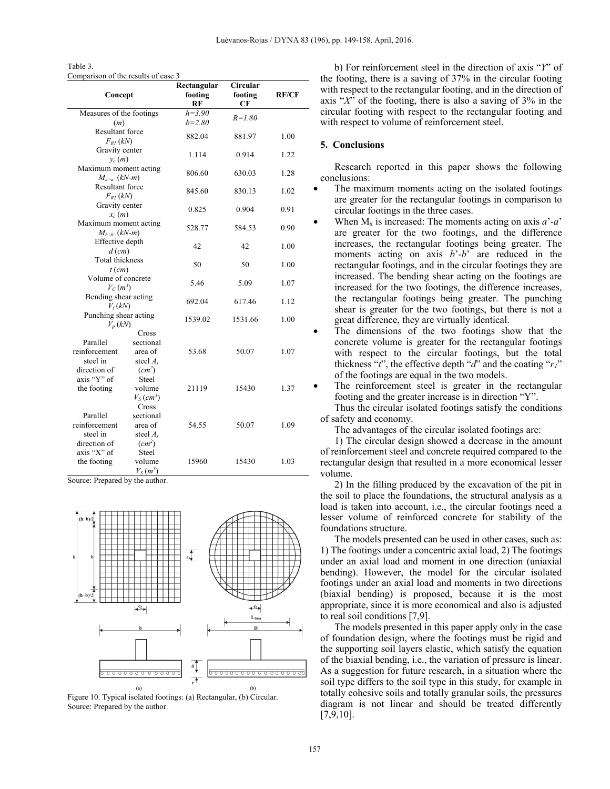Table 3. Comparison of the results of case 3

|                                    |                          | Rectangular | Circular   | <b>RF/CF</b> |  |
|------------------------------------|--------------------------|-------------|------------|--------------|--|
| Concept                            |                          | footing     | footing    |              |  |
|                                    |                          | RF          | CF         |              |  |
|                                    | Measures of the footings |             |            |              |  |
| (m)                                |                          | $b=2.80$    | $R = 1.80$ |              |  |
| <b>Resultant force</b>             |                          | 882.04      | 881.97     | 1.00         |  |
| $F_{RI}$ (kN)                      |                          |             |            |              |  |
| Gravity center                     |                          | 1.114       | 0.914      | 1.22         |  |
| $y_c(m)$                           |                          |             |            |              |  |
| Maximum moment acting              |                          | 806.60      | 630.03     | 1.28         |  |
| $M_{a'-a'}(kN-m)$                  |                          |             |            |              |  |
| <b>Resultant force</b>             |                          | 845.60      | 830.13     | 1.02         |  |
| $F_{R2}$ (kN)                      |                          |             |            |              |  |
| Gravity center                     |                          | 0.825       | 0.904      | 0.91         |  |
| $x_c(m)$                           |                          |             |            |              |  |
| Maximum moment acting              |                          | 528.77      | 584.53     | 0.90         |  |
| $M_{h-h'}(kN-m)$                   |                          |             |            |              |  |
| Effective depth                    |                          | 42          | 42         | 1.00         |  |
| $d$ (cm)                           |                          |             |            |              |  |
| Total thickness                    |                          | 50          | 50         | 1.00         |  |
| $t$ (cm)                           |                          |             |            |              |  |
| Volume of concrete                 |                          | 5.46        | 5.09       | 1.07         |  |
| $V_C(m^3)$                         |                          |             |            |              |  |
| Bending shear acting               |                          | 692.04      | 617.46     | 1.12         |  |
| $V_f(kN)$                          |                          |             |            |              |  |
| Punching shear acting<br>$V_n(kN)$ |                          | 1539.02     | 1531.66    | 1.00         |  |
|                                    | Cross                    |             |            |              |  |
| Parallel                           | sectional                |             |            |              |  |
| reinforcement                      | area of                  | 53.68       | 50.07      | 1.07         |  |
| steel in                           | steel $A_s$              |             |            |              |  |
| direction of                       | $(cm^2)$                 |             |            |              |  |
| axis "Y" of                        | Steel                    |             |            |              |  |
| the footing                        | volume                   | 21119       | 15430      | 1.37         |  |
|                                    | $V_S$ (cm <sup>3</sup> ) |             |            |              |  |
|                                    | Cross                    |             |            |              |  |
| Parallel                           | sectional                |             |            |              |  |
| reinforcement                      | area of                  | 54.55       | 50.07      | 1.09         |  |
| steel in                           | steel $A_s$              |             |            |              |  |
| direction of                       | $(cm^2)$                 |             |            |              |  |
| axis "X" of                        | Steel                    |             |            |              |  |
| the footing                        | volume                   | 15960       | 15430      | 1.03         |  |
|                                    | $V_S(m^3)$               |             |            |              |  |

Source: Prepared by the author.



Figure 10. Typical isolated footings: (a) Rectangular, (b) Circular. Source: Prepared by the author.

b) For reinforcement steel in the direction of axis "*Y*" of the footing, there is a saving of 37% in the circular footing with respect to the rectangular footing, and in the direction of axis "*X*" of the footing, there is also a saving of 3% in the circular footing with respect to the rectangular footing and with respect to volume of reinforcement steel.

## **5. Conclusions**

Research reported in this paper shows the following conclusions:

- The maximum moments acting on the isolated footings are greater for the rectangular footings in comparison to circular footings in the three cases.
- When  $M_x$  is increased: The moments acting on axis  $a^2-a^2$ are greater for the two footings, and the difference increases, the rectangular footings being greater. The moments acting on axis *b*'-*b*' are reduced in the rectangular footings, and in the circular footings they are increased. The bending shear acting on the footings are increased for the two footings, the difference increases, the rectangular footings being greater. The punching shear is greater for the two footings, but there is not a great difference, they are virtually identical.
- The dimensions of the two footings show that the concrete volume is greater for the rectangular footings with respect to the circular footings, but the total thickness "*t*", the effective depth "*d*" and the coating "*r1*" of the footings are equal in the two models.
- The reinforcement steel is greater in the rectangular footing and the greater increase is in direction "Y".

Thus the circular isolated footings satisfy the conditions of safety and economy.

The advantages of the circular isolated footings are:

1) The circular design showed a decrease in the amount of reinforcement steel and concrete required compared to the rectangular design that resulted in a more economical lesser volume.

2) In the filling produced by the excavation of the pit in the soil to place the foundations, the structural analysis as a load is taken into account, i.e., the circular footings need a lesser volume of reinforced concrete for stability of the foundations structure.

The models presented can be used in other cases, such as: 1) The footings under a concentric axial load, 2) The footings under an axial load and moment in one direction (uniaxial bending). However, the model for the circular isolated footings under an axial load and moments in two directions (biaxial bending) is proposed, because it is the most appropriate, since it is more economical and also is adjusted to real soil conditions [7,9].

The models presented in this paper apply only in the case of foundation design, where the footings must be rigid and the supporting soil layers elastic, which satisfy the equation of the biaxial bending, i.e., the variation of pressure is linear. As a suggestion for future research, in a situation where the soil type differs to the soil type in this study, for example in totally cohesive soils and totally granular soils, the pressures diagram is not linear and should be treated differently [7,9,10].